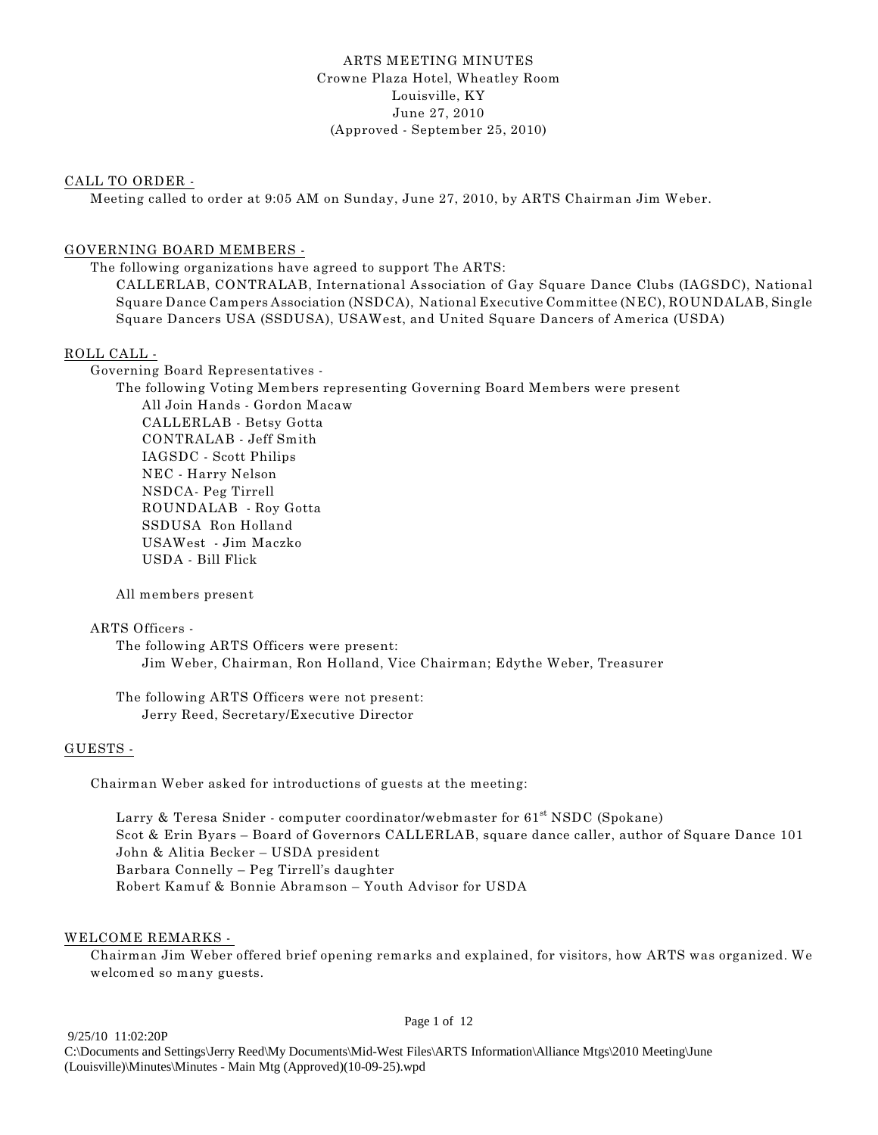#### ARTS MEETING MINUTES Crowne Plaza Hotel, Wheatley Room Louisville, KY June 27, 2010 (Approved - September 25, 2010)

#### CALL TO ORDER -

Meeting called to order at 9:05 AM on Sunday, June 27, 2010, by ARTS Chairman Jim Weber.

#### GOVERNING BOARD MEMBERS -

The following organizations have agreed to support The ARTS:

CALLERLAB, CONTRALAB, International Association of Gay Square Dance Clubs (IAGSDC), National Square Dance Campers Association (NSDCA), National Executive Committee (NEC), ROUNDALAB, Single Square Dancers USA (SSDUSA), USAWest, and United Square Dancers of America (USDA)

#### ROLL CALL -

Governing Board Representatives -

The following Voting Members representing Governing Board Members were present All Join Hands - Gordon Macaw CALLERLAB - Betsy Gotta CONTRALAB - Jeff Smith IAGSDC - Scott Philips NEC - Harry Nelson NSDCA- Peg Tirrell ROUNDALAB - Roy Gotta SSDUSA Ron Holland USAWest - Jim Maczko USDA - Bill Flick

#### All members present

#### ARTS Officers -

The following ARTS Officers were present: Jim Weber, Chairman, Ron Holland, Vice Chairman; Edythe Weber, Treasurer

The following ARTS Officers were not present: Jerry Reed, Secretary/Executive Director

#### GUESTS -

Chairman Weber asked for introductions of guests at the meeting:

Larry & Teresa Snider - computer coordinator/webmaster for  $61<sup>st</sup> NSDC$  (Spokane) Scot & Erin Byars – Board of Governors CALLERLAB, square dance caller, author of Square Dance 101 John & Alitia Becker – USDA president Barbara Connelly – Peg Tirrell's daughter Robert Kamuf & Bonnie Abramson – Youth Advisor for USDA

#### WELCOME REMARKS -

Chairman Jim Weber offered brief opening remarks and explained, for visitors, how ARTS was organized. We welcomed so many guests.

9/25/10 11:02:20P

Page 1 of 12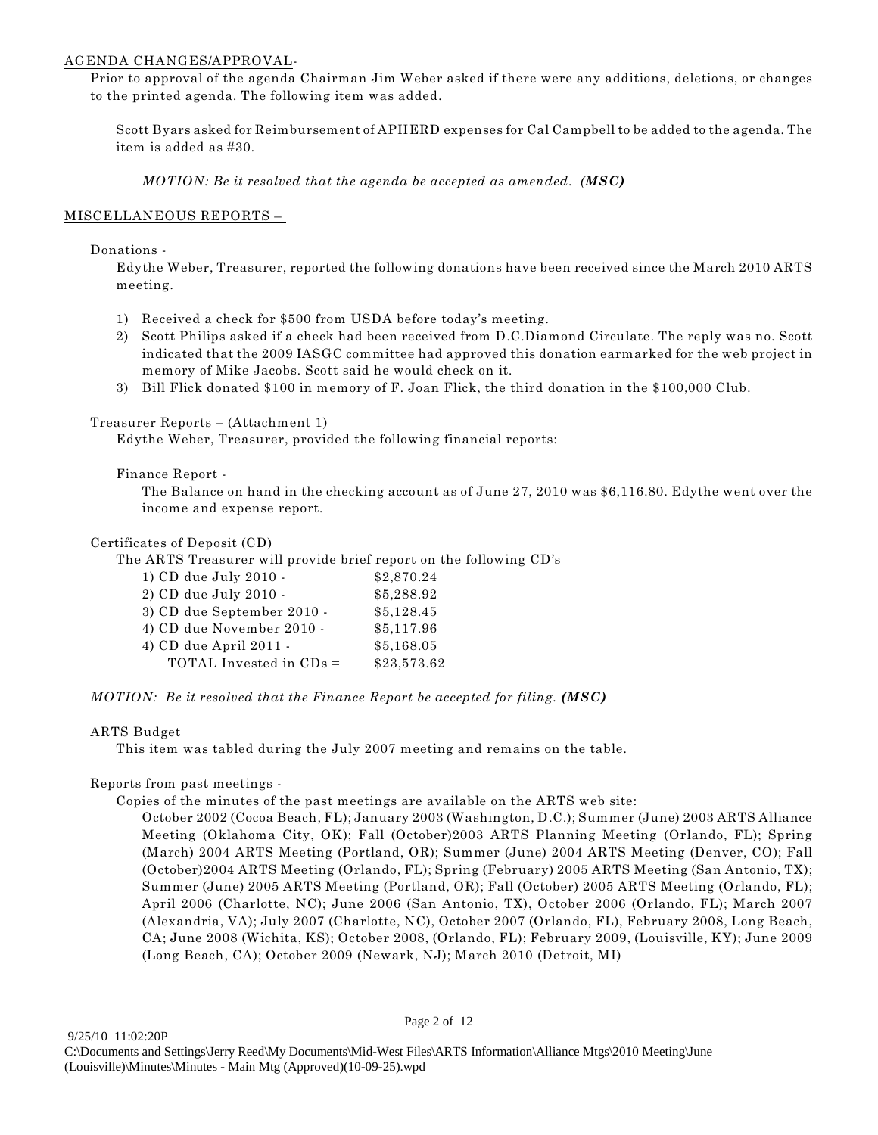#### AGENDA CHANGES/APPROVAL-

Prior to approval of the agenda Chairman Jim Weber asked if there were any additions, deletions, or changes to the printed agenda. The following item was added.

Scott Byars asked for Reimbursement of APHERD expenses for Cal Campbell to be added to the agenda. The item is added as #30.

*MOTION: Be it resolved that the agenda be accepted as amended. (MSC)*

#### MISCELLANEOUS REPORTS –

#### Donations -

Edythe Weber, Treasurer, reported the following donations have been received since the March 2010 ARTS meeting.

- 1) Received a check for \$500 from USDA before today's meeting.
- 2) Scott Philips asked if a check had been received from D.C.Diamond Circulate. The reply was no. Scott indicated that the 2009 IASGC committee had approved this donation earmarked for the web project in memory of Mike Jacobs. Scott said he would check on it.
- 3) Bill Flick donated \$100 in memory of F. Joan Flick, the third donation in the \$100,000 Club.

#### Treasurer Reports – (Attachment 1)

Edythe Weber, Treasurer, provided the following financial reports:

#### Finance Report -

The Balance on hand in the checking account as of June 27, 2010 was \$6,116.80. Edythe went over the income and expense report.

#### Certificates of Deposit (CD)

The ARTS Treasurer will provide brief report on the following CD's

| 1) CD due July 2010 -      | \$2,870.24  |
|----------------------------|-------------|
| 2) CD due July 2010 -      | \$5,288.92  |
| 3) CD due September 2010 - | \$5,128.45  |
| 4) CD due November 2010 -  | \$5,117.96  |
| 4) CD due April 2011 -     | \$5,168.05  |
| TOTAL Invested in CDs =    | \$23,573.62 |

#### *MOTION: Be it resolved that the Finance Report be accepted for filing. (MSC)*

#### ARTS Budget

This item was tabled during the July 2007 meeting and remains on the table.

#### Reports from past meetings -

Copies of the minutes of the past meetings are available on the ARTS web site:

October 2002 (Cocoa Beach, FL); January 2003 (Washington, D.C.); Summer (June) 2003 ARTS Alliance Meeting (Oklahoma City, OK); Fall (October)2003 ARTS Planning Meeting (Orlando, FL); Spring (March) 2004 ARTS Meeting (Portland, OR); Summer (June) 2004 ARTS Meeting (Denver, CO); Fall (October)2004 ARTS Meeting (Orlando, FL); Spring (February) 2005 ARTS Meeting (San Antonio, TX); Summer (June) 2005 ARTS Meeting (Portland, OR); Fall (October) 2005 ARTS Meeting (Orlando, FL); April 2006 (Charlotte, NC); June 2006 (San Antonio, TX), October 2006 (Orlando, FL); March 2007 (Alexandria, VA); July 2007 (Charlotte, NC), October 2007 (Orlando, FL), February 2008, Long Beach, CA; June 2008 (Wichita, KS); October 2008, (Orlando, FL); February 2009, (Louisville, KY); June 2009 (Long Beach, CA); October 2009 (Newark, NJ); March 2010 (Detroit, MI)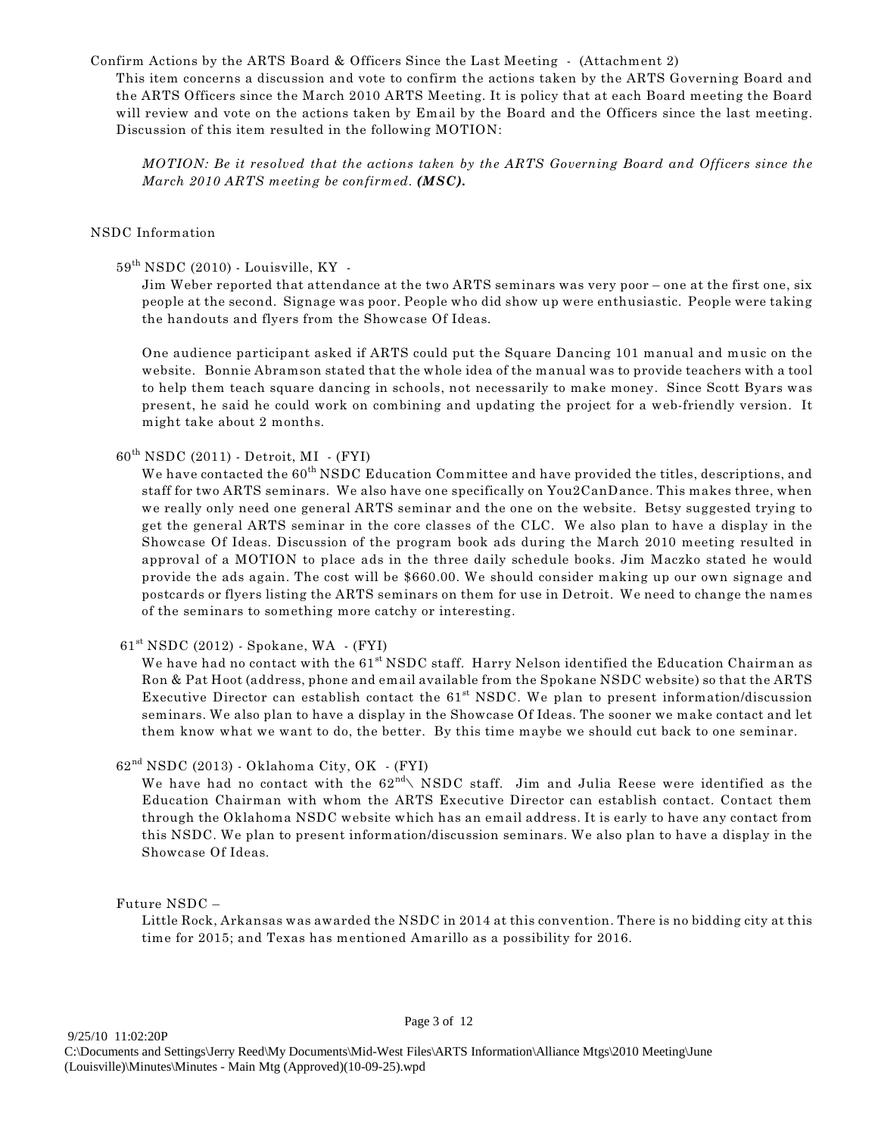Confirm Actions by the ARTS Board & Officers Since the Last Meeting - (Attachment 2)

This item concerns a discussion and vote to confirm the actions taken by the ARTS Governing Board and the ARTS Officers since the March 2010 ARTS Meeting. It is policy that at each Board meeting the Board will review and vote on the actions taken by Email by the Board and the Officers since the last meeting. Discussion of this item resulted in the following MOTION:

*MOTION: Be it resolved that the actions taken by the ARTS Governing Board and Officers since the March 2010 ARTS meeting be confirmed. (MSC).*

#### NSDC Information

### $59<sup>th</sup> NSDC (2010)$  - Louisville, KY -

Jim Weber reported that attendance at the two ARTS seminars was very poor – one at the first one, six people at the second. Signage was poor. People who did show up were enthusiastic. People were taking the handouts and flyers from the Showcase Of Ideas.

One audience participant asked if ARTS could put the Square Dancing 101 manual and music on the website. Bonnie Abramson stated that the whole idea of the manual was to provide teachers with a tool to help them teach square dancing in schools, not necessarily to make money. Since Scott Byars was present, he said he could work on combining and updating the project for a web-friendly version. It might take about 2 months.

# $60<sup>th</sup> NSDC (2011) - Detroit, MI - (FYI)$

We have contacted the 60<sup>th</sup> NSDC Education Committee and have provided the titles, descriptions, and staff for two ARTS seminars. We also have one specifically on You2CanDance. This makes three, when we really only need one general ARTS seminar and the one on the website. Betsy suggested trying to get the general ARTS seminar in the core classes of the CLC. We also plan to have a display in the Showcase Of Ideas. Discussion of the program book ads during the March 2010 meeting resulted in approval of a MOTION to place ads in the three daily schedule books. Jim Maczko stated he would provide the ads again. The cost will be \$660.00. We should consider making up our own signage and postcards or flyers listing the ARTS seminars on them for use in Detroit. We need to change the names of the seminars to something more catchy or interesting.

 $61<sup>st</sup> NSDC (2012) - Spokane, WA - (FYI)$ 

We have had no contact with the  $61<sup>st</sup> NSDC$  staff. Harry Nelson identified the Education Chairman as Ron & Pat Hoot (address, phone and email available from the Spokane NSDC website) so that the ARTS Executive Director can establish contact the  $61<sup>st</sup>$  NSDC. We plan to present information/discussion seminars. We also plan to have a display in the Showcase Of Ideas. The sooner we make contact and let them know what we want to do, the better. By this time maybe we should cut back to one seminar.

# $62^{\rm nd}$  NSDC (2013) - Oklahoma City, OK - (FYI)

We have had no contact with the  $62^{nd} \backslash$  NSDC staff. Jim and Julia Reese were identified as the Education Chairman with whom the ARTS Executive Director can establish contact. Contact them through the Oklahoma NSDC website which has an email address. It is early to have any contact from this NSDC. We plan to present information/discussion seminars. We also plan to have a display in the Showcase Of Ideas.

#### Future NSDC –

Little Rock, Arkansas was awarded the NSDC in 2014 at this convention. There is no bidding city at this time for 2015; and Texas has mentioned Amarillo as a possibility for 2016.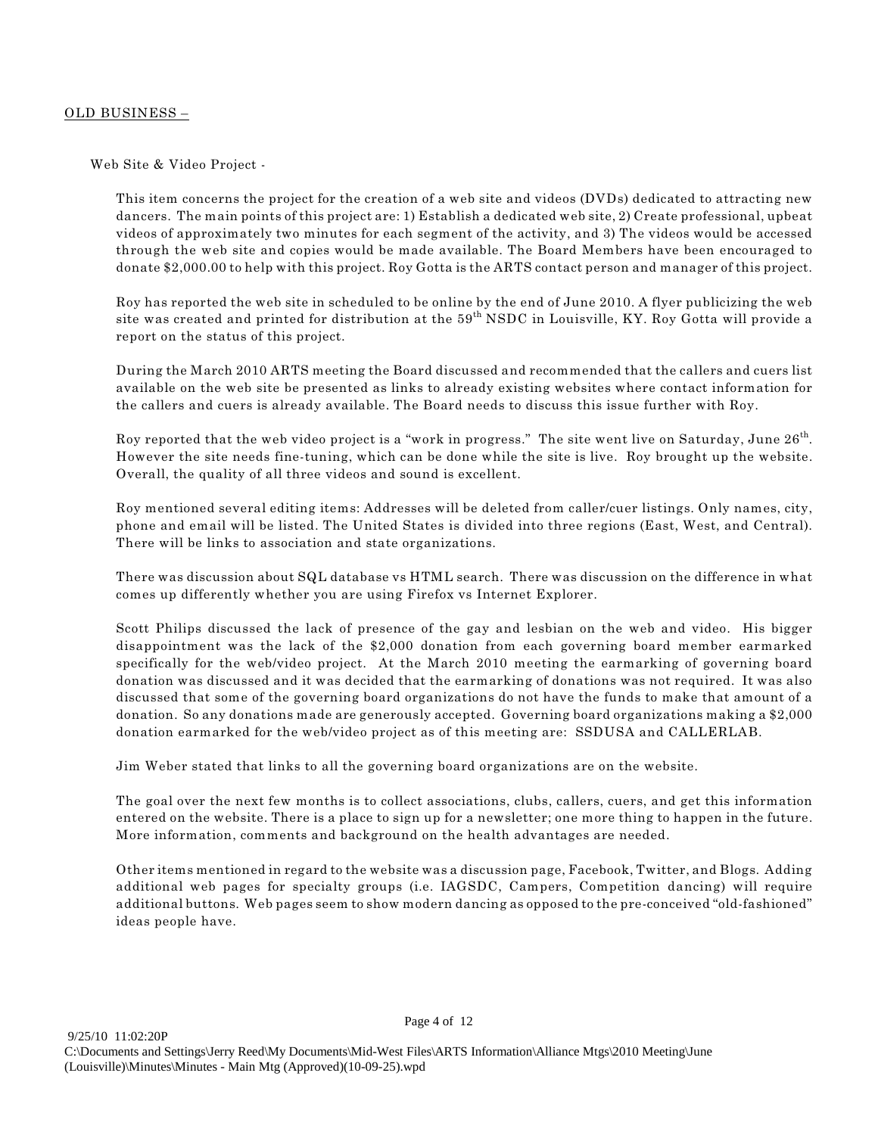#### OLD BUSINESS –

Web Site & Video Project -

This item concerns the project for the creation of a web site and videos (DVDs) dedicated to attracting new dancers. The main points of this project are: 1) Establish a dedicated web site, 2) Create professional, upbeat videos of approximately two minutes for each segment of the activity, and 3) The videos would be accessed through the web site and copies would be made available. The Board Members have been encouraged to donate \$2,000.00 to help with this project. Roy Gotta is the ARTS contact person and manager of this project.

Roy has reported the web site in scheduled to be online by the end of June 2010. A flyer publicizing the web site was created and printed for distribution at the 59<sup>th</sup> NSDC in Louisville, KY. Roy Gotta will provide a report on the status of this project.

During the March 2010 ARTS meeting the Board discussed and recommended that the callers and cuers list available on the web site be presented as links to already existing websites where contact information for the callers and cuers is already available. The Board needs to discuss this issue further with Roy.

Roy reported that the web video project is a "work in progress." The site went live on Saturday, June  $26<sup>th</sup>$ . However the site needs fine-tuning, which can be done while the site is live. Roy brought up the website. Overall, the quality of all three videos and sound is excellent.

Roy mentioned several editing items: Addresses will be deleted from caller/cuer listings. Only names, city, phone and email will be listed. The United States is divided into three regions (East, West, and Central). There will be links to association and state organizations.

There was discussion about SQL database vs HTML search. There was discussion on the difference in what comes up differently whether you are using Firefox vs Internet Explorer.

Scott Philips discussed the lack of presence of the gay and lesbian on the web and video. His bigger disappointment was the lack of the \$2,000 donation from each governing board member earmarked specifically for the web/video project. At the March 2010 meeting the earmarking of governing board donation was discussed and it was decided that the earmarking of donations was not required. It was also discussed that some of the governing board organizations do not have the funds to make that amount of a donation. So any donations made are generously accepted. Governing board organizations making a \$2,000 donation earmarked for the web/video project as of this meeting are: SSDUSA and CALLERLAB.

Jim Weber stated that links to all the governing board organizations are on the website.

The goal over the next few months is to collect associations, clubs, callers, cuers, and get this information entered on the website. There is a place to sign up for a newsletter; one more thing to happen in the future. More information, comments and background on the health advantages are needed.

Other items mentioned in regard to the website was a discussion page, Facebook, Twitter, and Blogs. Adding additional web pages for specialty groups (i.e. IAGSDC, Campers, Competition dancing) will require additional buttons. Web pages seem to show modern dancing as opposed to the pre-conceived "old-fashioned" ideas people have.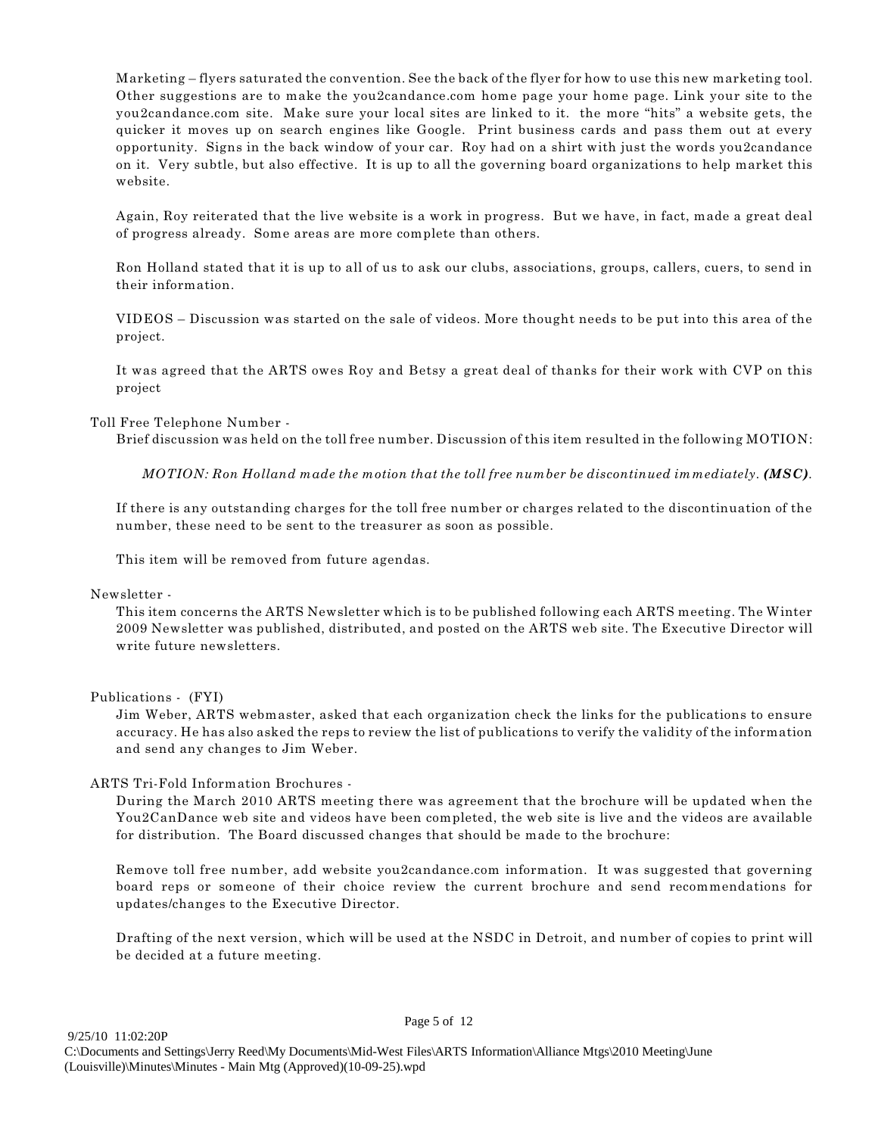Marketing – flyers saturated the convention. See the back of the flyer for how to use this new marketing tool. Other suggestions are to make the you2candance.com home page your home page. Link your site to the you2candance.com site. Make sure your local sites are linked to it. the more "hits" a website gets, the quicker it moves up on search engines like Google. Print business cards and pass them out at every opportunity. Signs in the back window of your car. Roy had on a shirt with just the words you2candance on it. Very subtle, but also effective. It is up to all the governing board organizations to help market this website.

Again, Roy reiterated that the live website is a work in progress. But we have, in fact, made a great deal of progress already. Some areas are more complete than others.

Ron Holland stated that it is up to all of us to ask our clubs, associations, groups, callers, cuers, to send in their information.

VIDEOS – Discussion was started on the sale of videos. More thought needs to be put into this area of the project.

It was agreed that the ARTS owes Roy and Betsy a great deal of thanks for their work with CVP on this project

Toll Free Telephone Number -

Brief discussion was held on the toll free number. Discussion of this item resulted in the following MOTION:

*MOTION: Ron Holland made the motion that the toll free number be discontinued immediately. (MSC).*

If there is any outstanding charges for the toll free number or charges related to the discontinuation of the number, these need to be sent to the treasurer as soon as possible.

This item will be removed from future agendas.

Newsletter -

This item concerns the ARTS Newsletter which is to be published following each ARTS meeting. The Winter 2009 Newsletter was published, distributed, and posted on the ARTS web site. The Executive Director will write future newsletters.

Publications - (FYI)

Jim Weber, ARTS webmaster, asked that each organization check the links for the publications to ensure accuracy. He has also asked the reps to review the list of publications to verify the validity of the information and send any changes to Jim Weber.

ARTS Tri-Fold Information Brochures -

During the March 2010 ARTS meeting there was agreement that the brochure will be updated when the You2CanDance web site and videos have been completed, the web site is live and the videos are available for distribution. The Board discussed changes that should be made to the brochure:

Remove toll free number, add website you2candance.com information. It was suggested that governing board reps or someone of their choice review the current brochure and send recommendations for updates/changes to the Executive Director.

Drafting of the next version, which will be used at the NSDC in Detroit, and number of copies to print will be decided at a future meeting.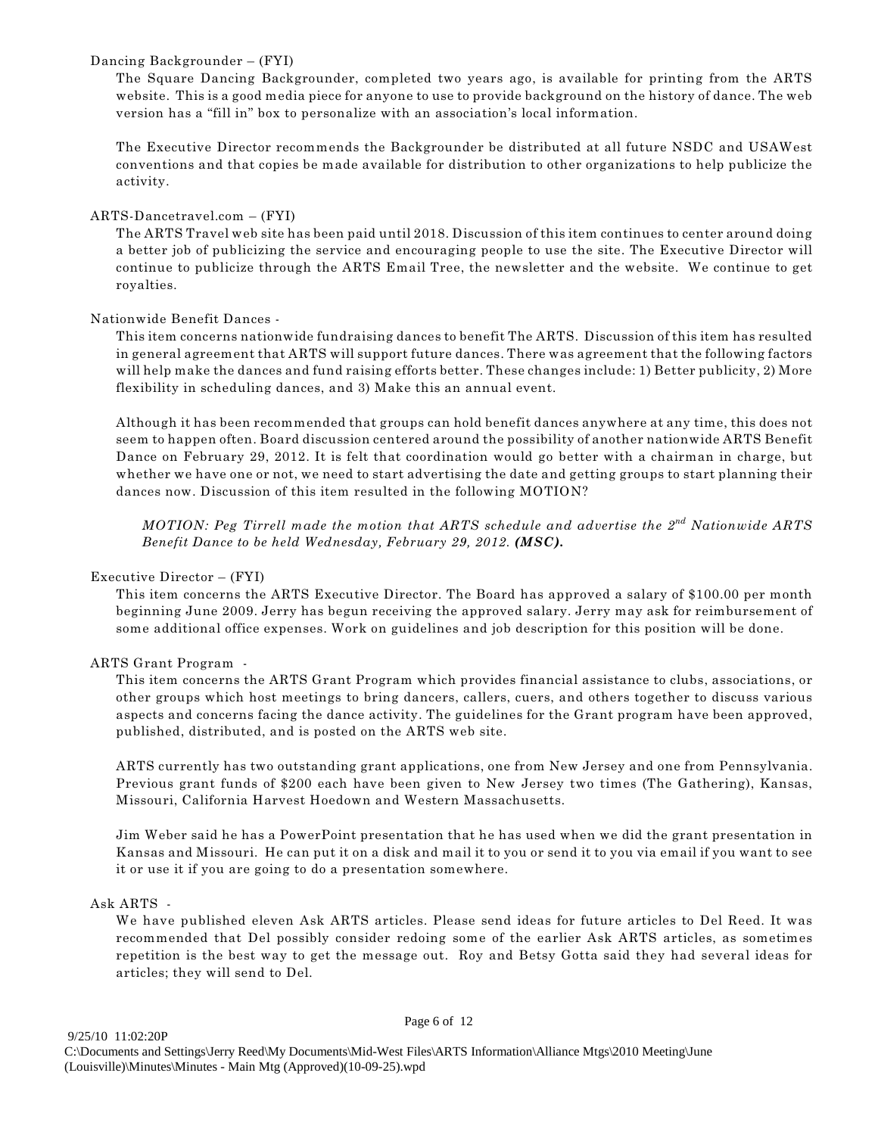#### Dancing Backgrounder – (FYI)

The Square Dancing Backgrounder, completed two years ago, is available for printing from the ARTS website. This is a good media piece for anyone to use to provide background on the history of dance. The web version has a "fill in" box to personalize with an association's local information.

The Executive Director recommends the Backgrounder be distributed at all future NSDC and USAWest conventions and that copies be made available for distribution to other organizations to help publicize the activity.

#### ARTS-Dancetravel.com – (FYI)

The ARTS Travel web site has been paid until 2018. Discussion of this item continues to center around doing a better job of publicizing the service and encouraging people to use the site. The Executive Director will continue to publicize through the ARTS Email Tree, the newsletter and the website. We continue to get royalties.

#### Nationwide Benefit Dances -

This item concerns nationwide fundraising dances to benefit The ARTS. Discussion of this item has resulted in general agreement that ARTS will support future dances. There was agreement that the following factors will help make the dances and fund raising efforts better. These changes include: 1) Better publicity, 2) More flexibility in scheduling dances, and 3) Make this an annual event.

Although it has been recommended that groups can hold benefit dances anywhere at any time, this does not seem to happen often. Board discussion centered around the possibility of another nationwide ARTS Benefit Dance on February 29, 2012. It is felt that coordination would go better with a chairman in charge, but whether we have one or not, we need to start advertising the date and getting groups to start planning their dances now. Discussion of this item resulted in the following MOTION?

*MOTION: Peg Tirrell made the motion that ARTS schedule and advertise the 2<sup>nd</sup> Nationwide ARTS Benefit Dance to be held Wednesday, February 29, 2012. (MSC).* 

#### Executive Director – (FYI)

This item concerns the ARTS Executive Director. The Board has approved a salary of \$100.00 per month beginning June 2009. Jerry has begun receiving the approved salary. Jerry may ask for reimbursement of some additional office expenses. Work on guidelines and job description for this position will be done.

#### ARTS Grant Program -

This item concerns the ARTS Grant Program which provides financial assistance to clubs, associations, or other groups which host meetings to bring dancers, callers, cuers, and others together to discuss various aspects and concerns facing the dance activity. The guidelines for the Grant program have been approved, published, distributed, and is posted on the ARTS web site.

ARTS currently has two outstanding grant applications, one from New Jersey and one from Pennsylvania. Previous grant funds of \$200 each have been given to New Jersey two times (The Gathering), Kansas, Missouri, California Harvest Hoedown and Western Massachusetts.

Jim Weber said he has a PowerPoint presentation that he has used when we did the grant presentation in Kansas and Missouri. He can put it on a disk and mail it to you or send it to you via email if you want to see it or use it if you are going to do a presentation somewhere.

#### Ask ARTS -

We have published eleven Ask ARTS articles. Please send ideas for future articles to Del Reed. It was recommended that Del possibly consider redoing some of the earlier Ask ARTS articles, as sometimes repetition is the best way to get the message out. Roy and Betsy Gotta said they had several ideas for articles; they will send to Del.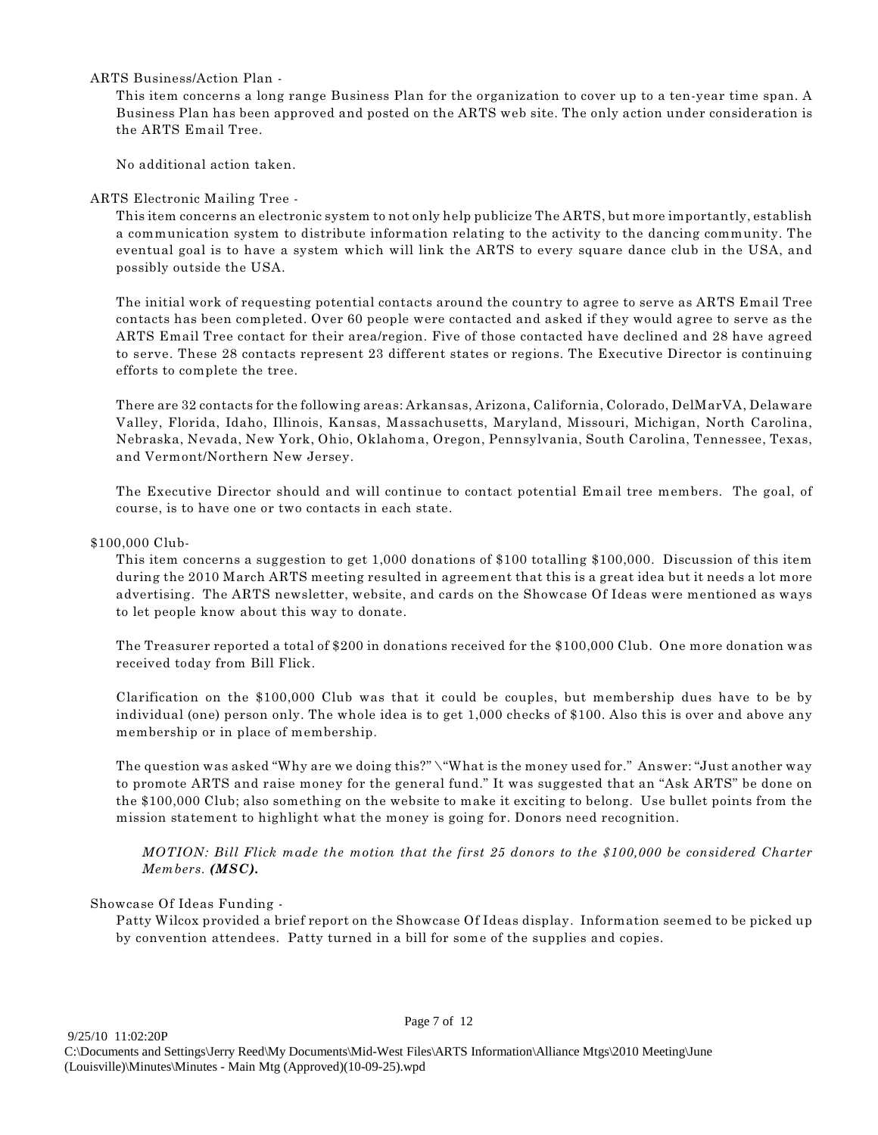#### ARTS Business/Action Plan -

This item concerns a long range Business Plan for the organization to cover up to a ten-year time span. A Business Plan has been approved and posted on the ARTS web site. The only action under consideration is the ARTS Email Tree.

No additional action taken.

#### ARTS Electronic Mailing Tree -

This item concerns an electronic system to not only help publicize The ARTS, but more importantly, establish a communication system to distribute information relating to the activity to the dancing community. The eventual goal is to have a system which will link the ARTS to every square dance club in the USA, and possibly outside the USA.

The initial work of requesting potential contacts around the country to agree to serve as ARTS Email Tree contacts has been completed. Over 60 people were contacted and asked if they would agree to serve as the ARTS Email Tree contact for their area/region. Five of those contacted have declined and 28 have agreed to serve. These 28 contacts represent 23 different states or regions. The Executive Director is continuing efforts to complete the tree.

There are 32 contacts for the following areas: Arkansas, Arizona, California, Colorado, DelMarVA, Delaware Valley, Florida, Idaho, Illinois, Kansas, Massachusetts, Maryland, Missouri, Michigan, North Carolina, Nebraska, Nevada, New York, Ohio, Oklahoma, Oregon, Pennsylvania, South Carolina, Tennessee, Texas, and Vermont/Northern New Jersey.

The Executive Director should and will continue to contact potential Email tree members. The goal, of course, is to have one or two contacts in each state.

#### \$100,000 Club-

This item concerns a suggestion to get 1,000 donations of \$100 totalling \$100,000. Discussion of this item during the 2010 March ARTS meeting resulted in agreement that this is a great idea but it needs a lot more advertising. The ARTS newsletter, website, and cards on the Showcase Of Ideas were mentioned as ways to let people know about this way to donate.

The Treasurer reported a total of \$200 in donations received for the \$100,000 Club. One more donation was received today from Bill Flick.

Clarification on the \$100,000 Club was that it could be couples, but membership dues have to be by individual (one) person only. The whole idea is to get 1,000 checks of \$100. Also this is over and above any membership or in place of membership.

The question was asked "Why are we doing this?" \"What is the money used for." Answer: "Just another way to promote ARTS and raise money for the general fund." It was suggested that an "Ask ARTS" be done on the \$100,000 Club; also something on the website to make it exciting to belong. Use bullet points from the mission statement to highlight what the money is going for. Donors need recognition.

*MOTION: Bill Flick made the motion that the first 25 donors to the \$100,000 be considered Charter Members. (MSC).*

#### Showcase Of Ideas Funding -

Patty Wilcox provided a brief report on the Showcase Of Ideas display. Information seemed to be picked up by convention attendees. Patty turned in a bill for some of the supplies and copies.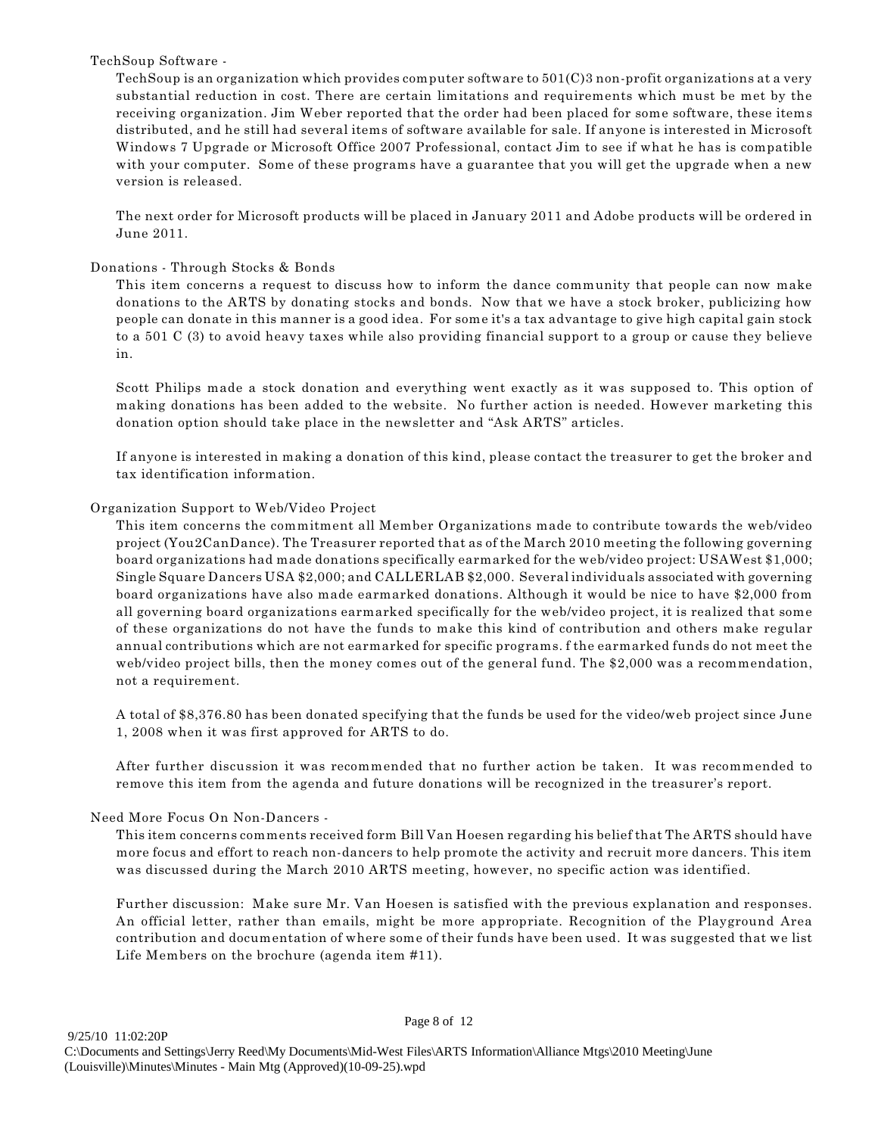#### TechSoup Software -

TechSoup is an organization which provides computer software to 501(C)3 non-profit organizations at a very substantial reduction in cost. There are certain limitations and requirements which must be met by the receiving organization. Jim Weber reported that the order had been placed for some software, these items distributed, and he still had several items of software available for sale. If anyone is interested in Microsoft Windows 7 Upgrade or Microsoft Office 2007 Professional, contact Jim to see if what he has is compatible with your computer. Some of these programs have a guarantee that you will get the upgrade when a new version is released.

The next order for Microsoft products will be placed in January 2011 and Adobe products will be ordered in June 2011.

#### Donations - Through Stocks & Bonds

This item concerns a request to discuss how to inform the dance community that people can now make donations to the ARTS by donating stocks and bonds. Now that we have a stock broker, publicizing how people can donate in this manner is a good idea. For some it's a tax advantage to give high capital gain stock to a 501 C (3) to avoid heavy taxes while also providing financial support to a group or cause they believe in.

Scott Philips made a stock donation and everything went exactly as it was supposed to. This option of making donations has been added to the website. No further action is needed. However marketing this donation option should take place in the newsletter and "Ask ARTS" articles.

If anyone is interested in making a donation of this kind, please contact the treasurer to get the broker and tax identification information.

#### Organization Support to Web/Video Project

This item concerns the commitment all Member Organizations made to contribute towards the web/video project (You2CanDance). The Treasurer reported that as of the March 2010 meeting the following governing board organizations had made donations specifically earmarked for the web/video project: USAWest \$1,000; Single Square Dancers USA \$2,000; and CALLERLAB \$2,000. Several individuals associated with governing board organizations have also made earmarked donations. Although it would be nice to have \$2,000 from all governing board organizations earmarked specifically for the web/video project, it is realized that some of these organizations do not have the funds to make this kind of contribution and others make regular annual contributions which are not earmarked for specific programs. f the earmarked funds do not meet the web/video project bills, then the money comes out of the general fund. The \$2,000 was a recommendation, not a requirement.

A total of \$8,376.80 has been donated specifying that the funds be used for the video/web project since June 1, 2008 when it was first approved for ARTS to do.

After further discussion it was recommended that no further action be taken. It was recommended to remove this item from the agenda and future donations will be recognized in the treasurer's report.

#### Need More Focus On Non-Dancers -

This item concerns comments received form Bill Van Hoesen regarding his belief that The ARTS should have more focus and effort to reach non-dancers to help promote the activity and recruit more dancers. This item was discussed during the March 2010 ARTS meeting, however, no specific action was identified.

Further discussion: Make sure Mr. Van Hoesen is satisfied with the previous explanation and responses. An official letter, rather than emails, might be more appropriate. Recognition of the Playground Area contribution and documentation of where some of their funds have been used. It was suggested that we list Life Members on the brochure (agenda item #11).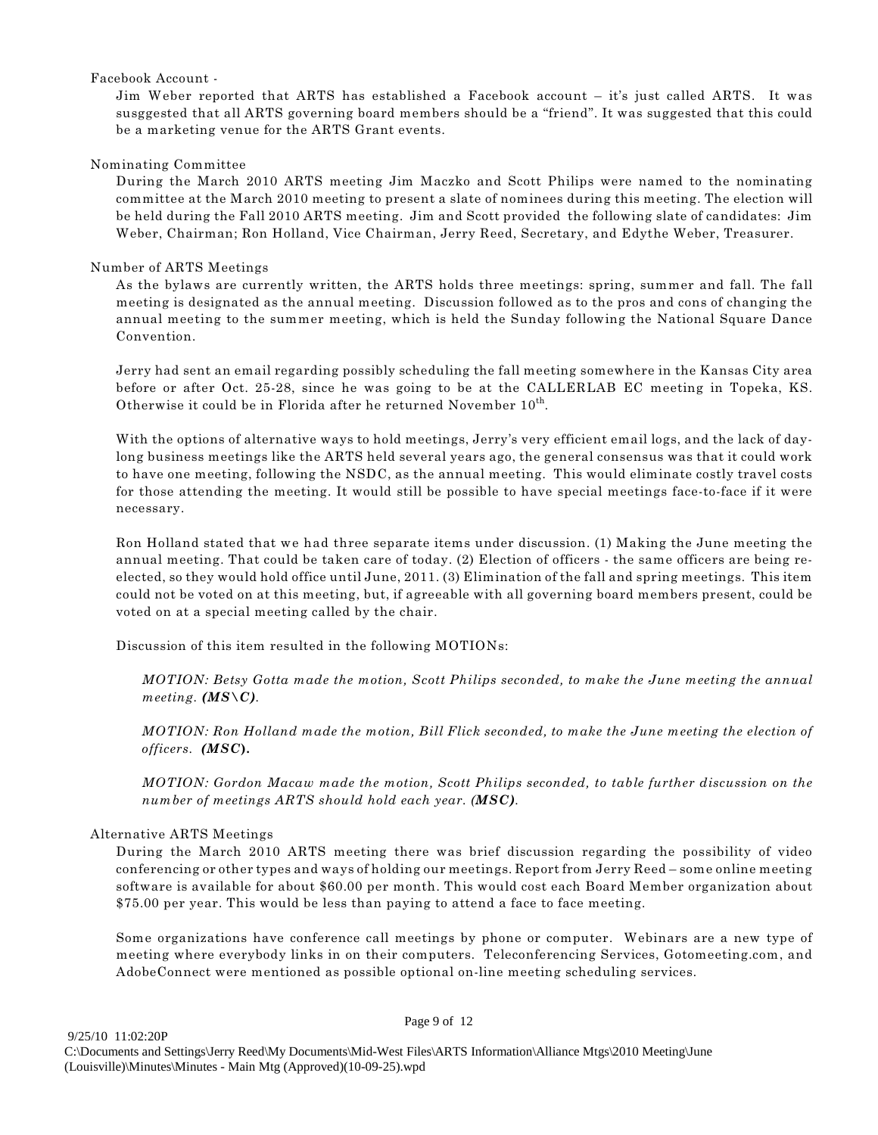#### Facebook Account -

Jim Weber reported that ARTS has established a Facebook account – it's just called ARTS. It was susggested that all ARTS governing board members should be a "friend". It was suggested that this could be a marketing venue for the ARTS Grant events.

#### Nominating Committee

During the March 2010 ARTS meeting Jim Maczko and Scott Philips were named to the nominating committee at the March 2010 meeting to present a slate of nominees during this meeting. The election will be held during the Fall 2010 ARTS meeting. Jim and Scott provided the following slate of candidates: Jim Weber, Chairman; Ron Holland, Vice Chairman, Jerry Reed, Secretary, and Edythe Weber, Treasurer.

#### Number of ARTS Meetings

As the bylaws are currently written, the ARTS holds three meetings: spring, summer and fall. The fall meeting is designated as the annual meeting. Discussion followed as to the pros and cons of changing the annual meeting to the summer meeting, which is held the Sunday following the National Square Dance Convention.

Jerry had sent an email regarding possibly scheduling the fall meeting somewhere in the Kansas City area before or after Oct. 25-28, since he was going to be at the CALLERLAB EC meeting in Topeka, KS. Otherwise it could be in Florida after he returned November  $10<sup>th</sup>$ .

With the options of alternative ways to hold meetings, Jerry's very efficient email logs, and the lack of daylong business meetings like the ARTS held several years ago, the general consensus was that it could work to have one meeting, following the NSDC, as the annual meeting. This would eliminate costly travel costs for those attending the meeting. It would still be possible to have special meetings face-to-face if it were necessary.

Ron Holland stated that we had three separate items under discussion. (1) Making the June meeting the annual meeting. That could be taken care of today. (2) Election of officers - the same officers are being reelected, so they would hold office until June, 2011. (3) Elimination of the fall and spring meetings. This item could not be voted on at this meeting, but, if agreeable with all governing board members present, could be voted on at a special meeting called by the chair.

Discussion of this item resulted in the following MOTIONs:

*MOTION: Betsy Gotta made the motion, Scott Philips seconded, to make the June meeting the annual meeting. (MS\C).*

*MOTION: Ron Holland made the motion, Bill Flick seconded, to make the June meeting the election of officers. (MSC***).**

*MOTION: Gordon Macaw made the motion, Scott Philips seconded, to table further discussion on the number of meetings ARTS should hold each year. (MSC).*

#### Alternative ARTS Meetings

During the March 2010 ARTS meeting there was brief discussion regarding the possibility of video conferencing or other types and ways of holding our meetings. Report from Jerry Reed – some online meeting software is available for about \$60.00 per month. This would cost each Board Member organization about \$75.00 per year. This would be less than paying to attend a face to face meeting.

Some organizations have conference call meetings by phone or computer. Webinars are a new type of meeting where everybody links in on their computers. Teleconferencing Services, Gotomeeting.com, and AdobeConnect were mentioned as possible optional on-line meeting scheduling services.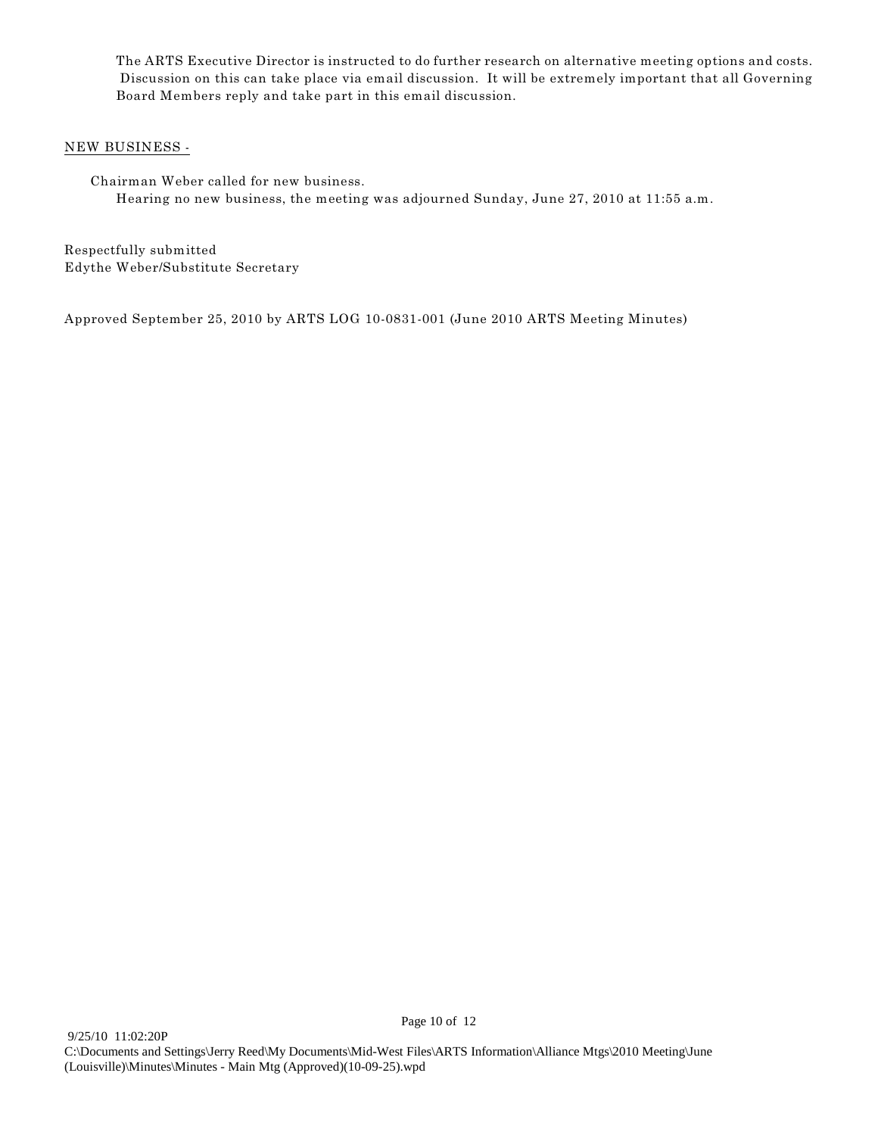The ARTS Executive Director is instructed to do further research on alternative meeting options and costs. Discussion on this can take place via email discussion. It will be extremely important that all Governing Board Members reply and take part in this email discussion.

#### NEW BUSINESS -

Chairman Weber called for new business. Hearing no new business, the meeting was adjourned Sunday, June 27, 2010 at 11:55 a.m.

Respectfully submitted Edythe Weber/Substitute Secretary

Approved September 25, 2010 by ARTS LOG 10-0831-001 (June 2010 ARTS Meeting Minutes)

Page 10 of 12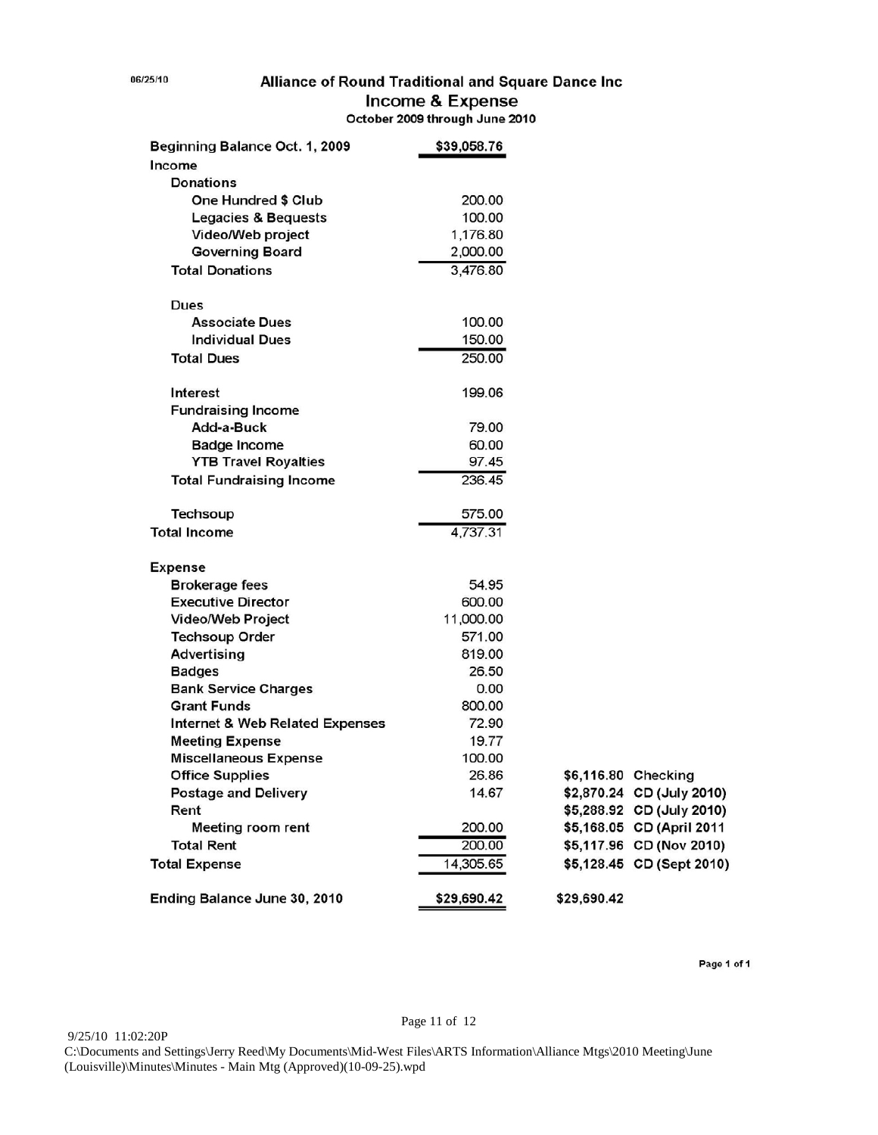# Alliance of Round Traditional and Square Dance Inc Income & Expense<br>October 2009 through June 2010

| Beginning Balance Oct. 1, 2009             | \$39,058.76 |             |                           |
|--------------------------------------------|-------------|-------------|---------------------------|
| Income                                     |             |             |                           |
| Donations                                  |             |             |                           |
| <b>One Hundred \$ Club</b>                 | 200.00      |             |                           |
| <b>Legacies &amp; Bequests</b>             | 100.00      |             |                           |
| Video/Web project                          | 1,176.80    |             |                           |
| <b>Governing Board</b>                     | 2,000.00    |             |                           |
| <b>Total Donations</b>                     | 3,476.80    |             |                           |
| Dues                                       |             |             |                           |
| <b>Associate Dues</b>                      | 100.00      |             |                           |
| <b>Individual Dues</b>                     | 150.00      |             |                           |
| <b>Total Dues</b>                          | 250.00      |             |                           |
| <b>Interest</b>                            | 199.06      |             |                           |
| <b>Fundraising Income</b>                  |             |             |                           |
| Add-a-Buck                                 | 79.00       |             |                           |
| <b>Badge Income</b>                        | 60.00       |             |                           |
| <b>YTB Travel Royalties</b>                | 97.45       |             |                           |
| <b>Total Fundraising Income</b>            | 236.45      |             |                           |
| <b>Techsoup</b>                            | 575.00      |             |                           |
| <b>Total Income</b>                        | 4,737.31    |             |                           |
| <b>Expense</b>                             |             |             |                           |
| <b>Brokerage fees</b>                      | 54.95       |             |                           |
| <b>Executive Director</b>                  | 600.00      |             |                           |
| <b>Video/Web Project</b>                   | 11,000.00   |             |                           |
| <b>Techsoup Order</b>                      | 571.00      |             |                           |
| <b>Advertising</b>                         | 819.00      |             |                           |
| <b>Badges</b>                              | 26.50       |             |                           |
| <b>Bank Service Charges</b>                | 0.00        |             |                           |
| <b>Grant Funds</b>                         | 800.00      |             |                           |
| <b>Internet &amp; Web Related Expenses</b> | 72.90       |             |                           |
| <b>Meeting Expense</b>                     | 19.77       |             |                           |
| <b>Miscellaneous Expense</b>               | 100.00      |             |                           |
| <b>Office Supplies</b>                     | 26.86       |             | \$6,116.80 Checking       |
| <b>Postage and Delivery</b>                | 14.67       |             | \$2,870.24 CD (July 2010) |
| Rent                                       |             |             | \$5,288.92 CD (July 2010) |
| <b>Meeting room rent</b>                   | 200.00      |             | \$5,168.05 CD (April 2011 |
| <b>Total Rent</b>                          | 200.00      |             | \$5,117.96 CD (Nov 2010)  |
| <b>Total Expense</b>                       | 14,305.65   |             | \$5,128.45 CD (Sept 2010) |
| Ending Balance June 30, 2010               | \$29,690.42 | \$29,690.42 |                           |

Page 1 of 1

06/25/10